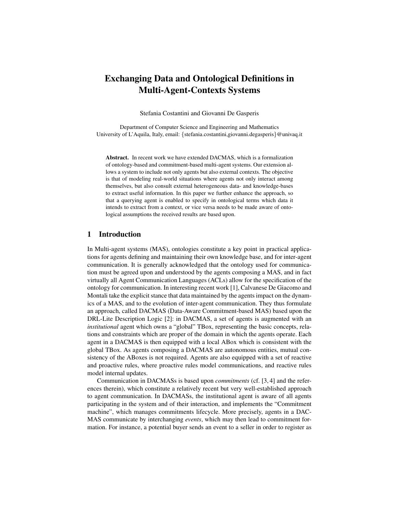# Exchanging Data and Ontological Definitions in Multi-Agent-Contexts Systems

Stefania Costantini and Giovanni De Gasperis

Department of Computer Science and Engineering and Mathematics University of L'Aquila, Italy, email: {stefania.costantini,giovanni.degasperis}@univaq.it

Abstract. In recent work we have extended DACMAS, which is a formalization of ontology-based and commitment-based multi-agent systems. Our extension allows a system to include not only agents but also external contexts. The objective is that of modeling real-world situations where agents not only interact among themselves, but also consult external heterogeneous data- and knowledge-bases to extract useful information. In this paper we further enhance the approach, so that a querying agent is enabled to specify in ontological terms which data it intends to extract from a context, or vice versa needs to be made aware of ontological assumptions the received results are based upon.

# 1 Introduction

In Multi-agent systems (MAS), ontologies constitute a key point in practical applications for agents defining and maintaining their own knowledge base, and for inter-agent communication. It is generally acknowledged that the ontology used for communication must be agreed upon and understood by the agents composing a MAS, and in fact virtually all Agent Communication Languages (ACLs) allow for the specification of the ontology for communication. In interesting recent work [1], Calvanese De Giacomo and Montali take the explicit stance that data maintained by the agents impact on the dynamics of a MAS, and to the evolution of inter-agent communication. They thus formulate an approach, called DACMAS (Data-Aware Commitment-based MAS) based upon the DRL-Lite Description Logic [2]: in DACMAS, a set of agents is augmented with an *institutional* agent which owns a "global" TBox, representing the basic concepts, relations and constraints which are proper of the domain in which the agents operate. Each agent in a DACMAS is then equipped with a local ABox which is consistent with the global TBox. As agents composing a DACMAS are autonomous entities, mutual consistency of the ABoxes is not required. Agents are also equipped with a set of reactive and proactive rules, where proactive rules model communications, and reactive rules model internal updates.

Communication in DACMASs is based upon *commitments* (cf. [3, 4] and the references therein), which constitute a relatively recent but very well-established approach to agent communication. In DACMASs, the institutional agent is aware of all agents participating in the system and of their interaction, and implements the "Commitment machine", which manages commitments lifecycle. More precisely, agents in a DAC-MAS communicate by interchanging *events*, which may then lead to commitment formation. For instance, a potential buyer sends an event to a seller in order to register as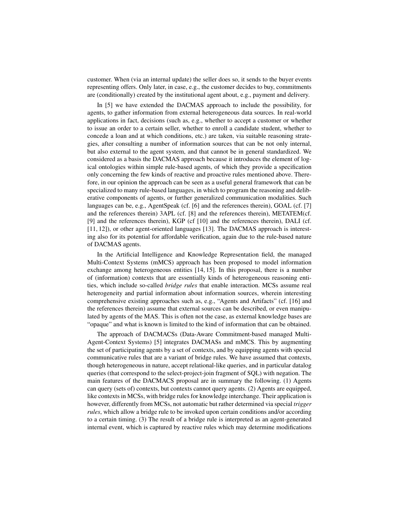customer. When (via an internal update) the seller does so, it sends to the buyer events representing offers. Only later, in case, e.g., the customer decides to buy, commitments are (conditionally) created by the institutional agent about, e.g., payment and delivery.

In [5] we have extended the DACMAS approach to include the possibility, for agents, to gather information from external heterogeneous data sources. In real-world applications in fact, decisions (such as, e.g., whether to accept a customer or whether to issue an order to a certain seller, whether to enroll a candidate student, whether to concede a loan and at which conditions, etc.) are taken, via suitable reasoning strategies, after consulting a number of information sources that can be not only internal, but also external to the agent system, and that cannot be in general standardized. We considered as a basis the DACMAS approach because it introduces the element of logical ontologies within simple rule-based agents, of which they provide a specification only concerning the few kinds of reactive and proactive rules mentioned above. Therefore, in our opinion the approach can be seen as a useful general framework that can be specialized to many rule-based languages, in which to program the reasoning and deliberative components of agents, or further generalized communication modalities. Such languages can be, e.g., AgentSpeak (cf. [6] and the references therein), GOAL (cf. [7] and the references therein) 3APL (cf. [8] and the references therein), METATEM(cf. [9] and the references therein), KGP (cf [10] and the references therein), DALI (cf. [11, 12]), or other agent-oriented languages [13]. The DACMAS approach is interesting also for its potential for affordable verification, again due to the rule-based nature of DACMAS agents.

In the Artificial Intelligence and Knowledge Representation field, the managed Multi-Context Systems (mMCS) approach has been proposed to model information exchange among heterogeneous entities [14, 15]. In this proposal, there is a number of (information) contexts that are essentially kinds of heterogeneous reasoning entities, which include so-called *bridge rules* that enable interaction. MCSs assume real heterogeneity and partial information about information sources, wherein interesting comprehensive existing approaches such as, e.g., "Agents and Artifacts" (cf. [16] and the references therein) assume that external sources can be described, or even manipulated by agents of the MAS. This is often not the case, as external knowledge bases are "opaque" and what is known is limited to the kind of information that can be obtained.

The approach of DACMACSs (Data-Aware Commitment-based managed Multi-Agent-Context Systems) [5] integrates DACMASs and mMCS. This by augmenting the set of participating agents by a set of contexts, and by equipping agents with special communicative rules that are a variant of bridge rules. We have assumed that contexts, though heterogeneous in nature, accept relational-like queries, and in particular datalog queries (that correspond to the select-project-join fragment of SQL) with negation. The main features of the DACMACS proposal are in summary the following. (1) Agents can query (sets of) contexts, but contexts cannot query agents. (2) Agents are equipped, like contexts in MCSs, with bridge rules for knowledge interchange. Their application is however, differently from MCSs, not automatic but rather determined via special *trigger rules*, which allow a bridge rule to be invoked upon certain conditions and/or according to a certain timing. (3) The result of a bridge rule is interpreted as an agent-generated internal event, which is captured by reactive rules which may determine modifications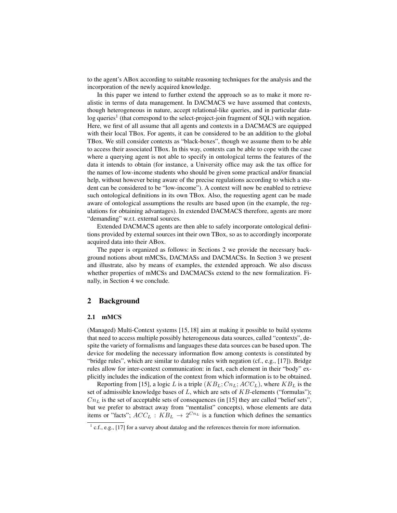to the agent's ABox according to suitable reasoning techniques for the analysis and the incorporation of the newly acquired knowledge.

In this paper we intend to further extend the approach so as to make it more realistic in terms of data management. In DACMACS we have assumed that contexts, though heterogeneous in nature, accept relational-like queries, and in particular datalog queries<sup>1</sup> (that correspond to the select-project-join fragment of SQL) with negation. Here, we first of all assume that all agents and contexts in a DACMACS are equipped with their local TBox. For agents, it can be considered to be an addition to the global TBox. We still consider contexts as "black-boxes", though we assume them to be able to access their associated TBox. In this way, contexts can be able to cope with the case where a querying agent is not able to specify in ontological terms the features of the data it intends to obtain (for instance, a University office may ask the tax office for the names of low-income students who should be given some practical and/or financial help, without however being aware of the precise regulations according to which a student can be considered to be "low-income"). A context will now be enabled to retrieve such ontological definitions in its own TBox. Also, the requesting agent can be made aware of ontological assumptions the results are based upon (in the example, the regulations for obtaining advantages). In extended DACMACS therefore, agents are more "demanding" w.r.t. external sources.

Extended DACMACS agents are then able to safely incorporate ontological definitions provided by external sources int their own TBox, so as to accordingly incorporate acquired data into their ABox.

The paper is organized as follows: in Sections 2 we provide the necessary background notions about mMCSs, DACMASs and DACMACSs. In Section 3 we present and illustrate, also by means of examples, the extended approach. We also discuss whether properties of mMCSs and DACMACSs extend to the new formalization. Finally, in Section 4 we conclude.

## 2 Background

#### 2.1 mMCS

(Managed) Multi-Context systems [15, 18] aim at making it possible to build systems that need to access multiple possibly heterogeneous data sources, called "contexts", despite the variety of formalisms and languages these data sources can be based upon. The device for modeling the necessary information flow among contexts is constituted by "bridge rules", which are similar to datalog rules with negation (cf., e.g., [17]). Bridge rules allow for inter-context communication: in fact, each element in their "body" explicitly includes the indication of the context from which information is to be obtained.

Reporting from [15], a logic L is a triple  $(KB_L; Cn_L; ACC_L)$ , where  $KB_L$  is the set of admissible knowledge bases of  $L$ , which are sets of  $KB$ -elements ("formulas");  $Cn<sub>L</sub>$  is the set of acceptable sets of consequences (in [15] they are called "belief sets", but we prefer to abstract away from "mentalist" concepts), whose elements are data items or "facts";  $ACC_L : KB_L \rightarrow 2^{Cn_L}$  is a function which defines the semantics

 $<sup>1</sup>$  c.f., e.g., [17] for a survey about datalog and the references therein for more information.</sup>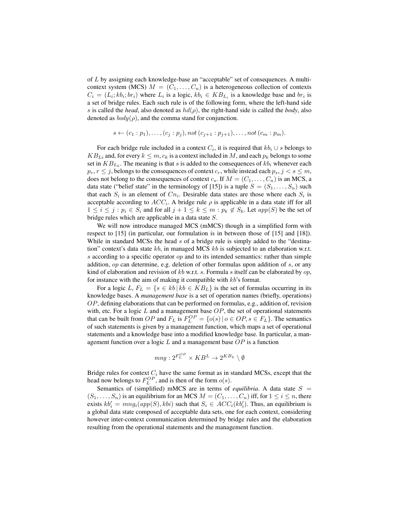of L by assigning each knowledge-base an "acceptable" set of consequences. A multicontext system (MCS)  $M = (C_1, \ldots, C_n)$  is a heterogeneous collection of contexts  $C_i = (L_i; kb_i; br_i)$  where  $L_i$  is a logic,  $kb_i \in KB_{L_i}$  is a knowledge base and  $br_i$  is a set of bridge rules. Each such rule is of the following form, where the left-hand side s is called the *head*, also denoted as  $hd(\rho)$ , the right-hand side is called the *body*, also denoted as  $body(\rho)$ , and the comma stand for conjunction.

$$
s \leftarrow (c_1 : p_1), \ldots, (c_j : p_j), not (c_{j+1} : p_{j+1}), \ldots, not (c_m : p_m).
$$

For each bridge rule included in a context  $C_i$ , it is required that  $kb_i \cup s$  belongs to  $KB_{Li}$  and, for every  $k \leq m$ ,  $c_k$  is a context included in M, and each  $p_k$  belongs to some set in  $KB_{L_k}$ . The meaning is that s is added to the consequences of  $kb_i$  whenever each  $p_r, r \leq j$ , belongs to the consequences of context  $c_r$ , while instead each  $p_s, j < s \leq m$ , does not belong to the consequences of context  $c_s$ . If  $M = (C_1, \ldots, C_n)$  is an MCS, a data state ("belief state" in the terminology of [15]) is a tuple  $S = (S_1, \ldots, S_n)$  such that each  $S_i$  is an element of  $C_{n_i}$ . Desirable data states are those where each  $S_i$  is acceptable according to  $ACC_i$ . A bridge rule  $\rho$  is applicable in a data state iff for all  $1 \leq i \leq j : p_i \in S_i$  and for all  $j + 1 \leq k \leq m : p_k \notin S_k$ . Let  $app(S)$  be the set of bridge rules which are applicable in a data state S.

We will now introduce managed MCS (mMCS) though in a simplified form with respect to [15] (in particular, our formulation is in between those of [15] and [18]). While in standard MCSs the head  $s$  of a bridge rule is simply added to the "destination" context's data state  $kb$ , in managed MCS  $kb$  is subjected to an elaboration w.r.t.  $s$  according to a specific operator  $op$  and to its intended semantics: rather than simple addition, *op* can determine, e.g. deletion of other formulas upon addition of  $s$ , or any kind of elaboration and revision of kb w.r.t. s. Formula s itself can be elaborated by  $op$ , for instance with the aim of making it compatible with kb's format.

For a logic L,  $F_L = \{ s \in kb \mid kb \in KB_L \}$  is the set of formulas occurring in its knowledge bases. A *management base* is a set of operation names (briefly, operations)  $OP$ , defining elaborations that can be performed on formulas, e.g., addition of, revision with, etc. For a logic  $L$  and a management base  $OP$ , the set of operational statements that can be built from OP and  $F_L$  is  $F_L^{OP} = \{o(s) | o \in OP, s \in F_L\}$ . The semantics of such statements is given by a management function, which maps a set of operational statements and a knowledge base into a modified knowledge base. In particular, a management function over a logic  $L$  and a management base  $OP$  is a function

$$
mng: 2^{F_L^{OP}} \times KB^L \to 2^{KB_L} \setminus \emptyset
$$

Bridge rules for context  $C_i$  have the same format as in standard MCSs, except that the head now belongs to  $F_L^{OP}$ , and is then of the form  $o(s)$ .

Semantics of (simplified) mMCS are in terms of *equilibria*. A data state  $S =$  $(S_1, \ldots, S_n)$  is an equilibrium for an MCS  $M = (C_1, \ldots, C_n)$  iff, for  $1 \leq i \leq n$ , there exists  $kb_i' = mng_i(app(S), kbi)$  such that  $S_i \in ACC_i(kb_i')$ . Thus, an equilibrium is a global data state composed of acceptable data sets, one for each context, considering however inter-context communication determined by bridge rules and the elaboration resulting from the operational statements and the management function.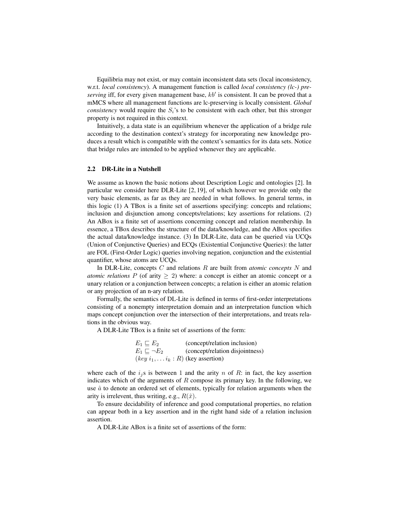Equilibria may not exist, or may contain inconsistent data sets (local inconsistency, w.r.t. *local consistency*). A management function is called *local consistency (lc-) pre*serving iff, for every given management base,  $kb'$  is consistent. It can be proved that a mMCS where all management functions are lc-preserving is locally consistent. *Global consistency* would require the  $S_i$ 's to be consistent with each other, but this stronger property is not required in this context.

Intuitively, a data state is an equilibrium whenever the application of a bridge rule according to the destination context's strategy for incorporating new knowledge produces a result which is compatible with the context's semantics for its data sets. Notice that bridge rules are intended to be applied whenever they are applicable.

#### 2.2 DR-Lite in a Nutshell

We assume as known the basic notions about Description Logic and ontologies [2]. In particular we consider here DLR-Lite [2, 19], of which however we provide only the very basic elements, as far as they are needed in what follows. In general terms, in this logic (1) A TBox is a finite set of assertions specifying: concepts and relations; inclusion and disjunction among concepts/relations; key assertions for relations. (2) An ABox is a finite set of assertions concerning concept and relation membership. In essence, a TBox describes the structure of the data/knowledge, and the ABox specifies the actual data/knowledge instance. (3) In DLR-Lite, data can be queried via UCQs (Union of Conjunctive Queries) and ECQs (Existential Conjunctive Queries): the latter are FOL (First-Order Logic) queries involving negation, conjunction and the existential quantifier, whose atoms are UCQs.

In DLR-Lite, concepts C and relations R are built from *atomic concepts* N and *atomic relations*  $P$  (of arity  $\geq$  2) where: a concept is either an atomic concept or a unary relation or a conjunction between concepts; a relation is either an atomic relation or any projection of an n-ary relation.

Formally, the semantics of DL-Lite is defined in terms of first-order interpretations consisting of a nonempty interpretation domain and an interpretation function which maps concept conjunction over the intersection of their interpretations, and treats relations in the obvious way.

A DLR-Lite TBox is a finite set of assertions of the form:

| $E_1 \sqsubset E_2$                         | (concept/relation inclusion)    |
|---------------------------------------------|---------------------------------|
| $E_1 \sqsubset \neg E_2$                    | (concept/relation disjointness) |
| $(key i_1, \ldots i_k : R)$ (key assertion) |                                 |

where each of the  $i_j$ s is between 1 and the arity n of R: in fact, the key assertion indicates which of the arguments of  $R$  compose its primary key. In the following, we use  $\hat{a}$  to denote an ordered set of elements, typically for relation arguments when the arity is irrelevent, thus writing, e.g.,  $R(\hat{x})$ .

To ensure decidability of inference and good computational properties, no relation can appear both in a key assertion and in the right hand side of a relation inclusion assertion.

A DLR-Lite ABox is a finite set of assertions of the form: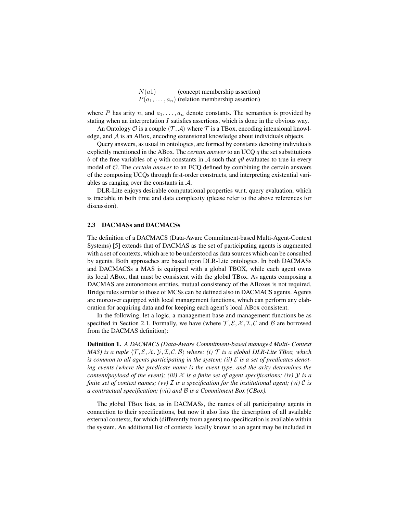| N(a1) | (concept membership assertion)                        |
|-------|-------------------------------------------------------|
|       | $P(a_1, \ldots, a_n)$ (relation membership assertion) |

where P has arity n, and  $a_1, \ldots, a_n$  denote constants. The semantics is provided by stating when an interpretation  $I$  satisfies assertions, which is done in the obvious way.

An Ontology  $\mathcal O$  is a couple  $\langle \mathcal T, \mathcal A \rangle$  where  $\mathcal T$  is a TBox, encoding intensional knowledge, and  $A$  is an ABox, encoding extensional knowledge about individuals objects.

Query answers, as usual in ontologies, are formed by constants denoting individuals explicitly mentioned in the ABox. The *certain answer* to an UCQ q the set substitutions θ of the free variables of q with constants in A such that  $qθ$  evaluates to true in every model of O. The *certain answer* to an ECQ defined by combining the certain answers of the composing UCQs through first-order constructs, and interpreting existential variables as ranging over the constants in A.

DLR-Lite enjoys desirable computational properties w.r.t. query evaluation, which is tractable in both time and data complexity (please refer to the above references for discussion).

#### 2.3 DACMASs and DACMACSs

The definition of a DACMACS (Data-Aware Commitment-based Multi-Agent-Context Systems) [5] extends that of DACMAS as the set of participating agents is augmented with a set of contexts, which are to be understood as data sources which can be consulted by agents. Both approaches are based upon DLR-Lite ontologies. In both DACMASs and DACMACSs a MAS is equipped with a global TBOX, while each agent owns its local ABox, that must be consistent with the global TBox. As agents composing a DACMAS are autonomous entities, mutual consistency of the ABoxes is not required. Bridge rules similar to those of MCSs can be defined also in DACMACS agents. Agents are moreover equipped with local management functions, which can perform any elaboration for acquiring data and for keeping each agent's local ABox consistent.

In the following, let a logic, a management base and management functions be as specified in Section 2.1. Formally, we have (where  $\mathcal{T}, \mathcal{E}, \mathcal{X}, \mathcal{I}, \mathcal{C}$  and  $\mathcal{B}$  are borrowed from the DACMAS definition):

Definition 1. *A DACMACS (Data-Aware Commitment-based managed Multi- Context MAS) is a tuple*  $\langle T, \mathcal{E}, \mathcal{X}, \mathcal{Y}, \mathcal{I}, \mathcal{C}, \mathcal{B} \rangle$  *where: (i)*  $\mathcal{T}$  *is a global DLR-Lite TBox, which* is common to all agents participating in the system; (ii)  $\mathcal E$  is a set of predicates denot*ing events (where the predicate name is the event type, and the arity determines the content/payload of the event); (iii)*  $X$  *is a finite set of agent specifications; (iv)*  $Y$  *is a finite set of context names; (vv)*  $\mathcal{I}$  *is a specification for the institutional agent; (vi)*  $\mathcal{C}$  *is a contractual specification; (vii) and* B *is a Commitment Box (CBox).*

The global TBox lists, as in DACMASs, the names of all participating agents in connection to their specifications, but now it also lists the description of all available external contexts, for which (differently from agents) no specification is available within the system. An additional list of contexts locally known to an agent may be included in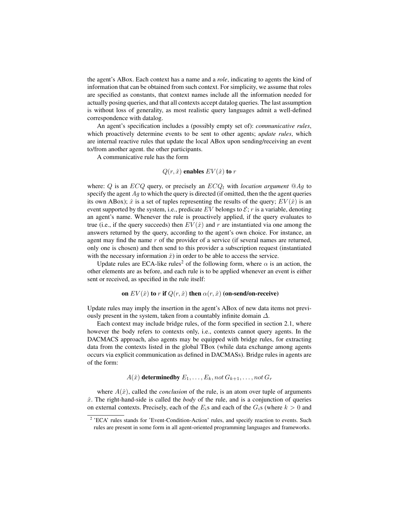the agent's ABox. Each context has a name and a *role*, indicating to agents the kind of information that can be obtained from such context. For simplicity, we assume that roles are specified as constants, that context names include all the information needed for actually posing queries, and that all contexts accept datalog queries. The last assumption is without loss of generality, as most realistic query languages admit a well-defined correspondence with datalog.

An agent's specification includes a (possibly empty set of): *communicative rules*, which proactively determine events to be sent to other agents; *update rules*, which are internal reactive rules that update the local ABox upon sending/receiving an event to/from another agent. the other participants.

A communicative rule has the form

## $Q(r, \hat{x})$  enables  $EV(\hat{x})$  to r

where: Q is an *ECQ* query, or precisely an *ECQ<sub>l</sub>* with *location argument*  $@Aq$  to specify the agent  $Ag$  to which the query is directed (if omitted, then the the agent queries its own ABox);  $\hat{x}$  is a set of tuples representing the results of the query;  $EV(\hat{x})$  is an event supported by the system, i.e., predicate  $EV$  belongs to  $\mathcal{E}$ ; r is a variable, denoting an agent's name. Whenever the rule is proactively applied, if the query evaluates to true (i.e., if the query succeeds) then  $EV(\hat{x})$  and r are instantiated via one among the answers returned by the query, according to the agent's own choice. For instance, an agent may find the name r of the provider of a service (if several names are returned, only one is chosen) and then send to this provider a subscription request (instantiated with the necessary information  $\hat{x}$ ) in order to be able to access the service.

Update rules are ECA-like rules<sup>2</sup> of the following form, where  $\alpha$  is an action, the other elements are as before, and each rule is to be applied whenever an event is either sent or received, as specified in the rule itself:

#### on  $EV(\hat{x})$  to r if  $Q(r, \hat{x})$  then  $\alpha(r, \hat{x})$  (on-send/on-receive)

Update rules may imply the insertion in the agent's ABox of new data items not previously present in the system, taken from a countably infinite domain  $\Delta$ .

Each context may include bridge rules, of the form specified in section 2.1, where however the body refers to contexts only, i.e., contexts cannot query agents. In the DACMACS approach, also agents may be equipped with bridge rules, for extracting data from the contexts listed in the global TBox (while data exchange among agents occurs via explicit communication as defined in DACMASs). Bridge rules in agents are of the form:

 $A(\hat{x})$  determinedby  $E_1, \ldots, E_k$ , not  $G_{k+1}, \ldots$ , not  $G_r$ 

where  $A(\hat{x})$ , called the *conclusion* of the rule, is an atom over tuple of arguments  $\hat{x}$ . The right-hand-side is called the *body* of the rule, and is a conjunction of queries on external contexts. Precisely, each of the  $E_i$ s and each of the  $G_i$ s (where  $k > 0$  and

<sup>&</sup>lt;sup>2</sup> 'ECA' rules stands for 'Event-Condition-Action' rules, and specify reaction to events. Such rules are present in some form in all agent-oriented programming languages and frameworks.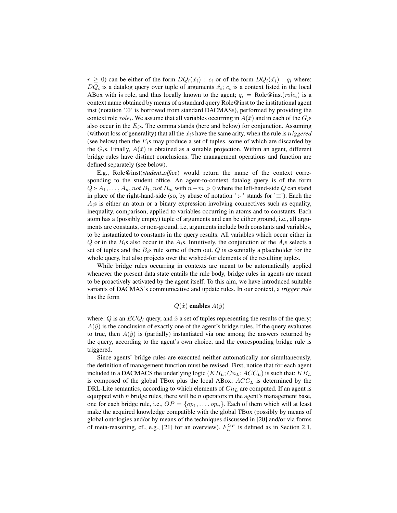$r \geq 0$ ) can be either of the form  $DQ_i(\hat{x}_i) : c_i$  or of the form  $DQ_i(\hat{x}_i) : q_i$  where:  $DQ_i$  is a datalog query over tuple of arguments  $\hat{x_i}$ ;  $c_i$  is a context listed in the local ABox with is role, and thus locally known to the agent;  $q_i = \text{Role@inst}(role_i)$  is a context name obtained by means of a standard query Role@inst to the institutional agent inst (notation '@' is borrowed from standard DACMASs), performed by providing the context role  $role_i$ . We assume that all variables occurring in  $A(\hat{x})$  and in each of the  $G_i$ s also occur in the  $E_i$ s. The comma stands (here and below) for conjunction. Assuming (without loss of generality) that all the  $\hat{x_i}$ s have the same arity, when the rule is *triggered* (see below) then the  $E_i$ s may produce a set of tuples, some of which are discarded by the  $G_i$ s. Finally,  $A(\hat{x})$  is obtained as a suitable projection. Within an agent, different bridge rules have distinct conclusions. The management operations and function are defined separately (see below).

E.g., Role@inst(*student office*) would return the name of the context corresponding to the student office. An agent-to-context datalog query is of the form  $Q: A_1, \ldots, A_n$ , not  $B_1$ , not  $B_m$  with  $n+m>0$  where the left-hand-side Q can stand in place of the right-hand-side (so, by abuse of notation ':-' stands for ' $\equiv$ '). Each the  $A_i$ s is either an atom or a binary expression involving connectives such as equality, inequality, comparison, applied to variables occurring in atoms and to constants. Each atom has a (possibly empty) tuple of arguments and can be either ground, i.e., all arguments are constants, or non-ground, i.e, arguments include both constants and variables, to be instantiated to constants in the query results. All variables which occur either in Q or in the  $B_i$ s also occur in the  $A_i$ s. Intuitively, the conjunction of the  $A_i$ s selects a set of tuples and the  $B_i$ s rule some of them out. Q is essentially a placeholder for the whole query, but also projects over the wished-for elements of the resulting tuples.

While bridge rules occurring in contexts are meant to be automatically applied whenever the present data state entails the rule body, bridge rules in agents are meant to be proactively activated by the agent itself. To this aim, we have introduced suitable variants of DACMAS's communicative and update rules. In our context, a *trigger rule* has the form

## $Q(\hat{x})$  enables  $A(\hat{y})$

where: Q is an  $ECQ_l$  query, and  $\hat{x}$  a set of tuples representing the results of the query;  $A(\hat{y})$  is the conclusion of exactly one of the agent's bridge rules. If the query evaluates to true, then  $A(\hat{y})$  is (partially) instantiated via one among the answers returned by the query, according to the agent's own choice, and the corresponding bridge rule is triggered.

Since agents' bridge rules are executed neither automatically nor simultaneously, the definition of management function must be revised. First, notice that for each agent included in a DACMACS the underlying logic  $(KB_L; Cn_L; ACC_L)$  is such that:  $KB_L$ is composed of the global TBox plus the local ABox;  $ACC<sub>L</sub>$  is determined by the DRL-Lite semantics, according to which elements of  $Cn<sub>L</sub>$  are computed. If an agent is equipped with  $n$  bridge rules, there will be  $n$  operators in the agent's management base, one for each bridge rule, i.e.,  $OP = \{op_1, \ldots, op_n\}$ . Each of them which will at least make the acquired knowledge compatible with the global TBox (possibly by means of global ontologies and/or by means of the techniques discussed in [20] and/or via forms of meta-reasoning, cf., e.g., [21] for an overview).  $F_L^{OP}$  is defined as in Section 2.1,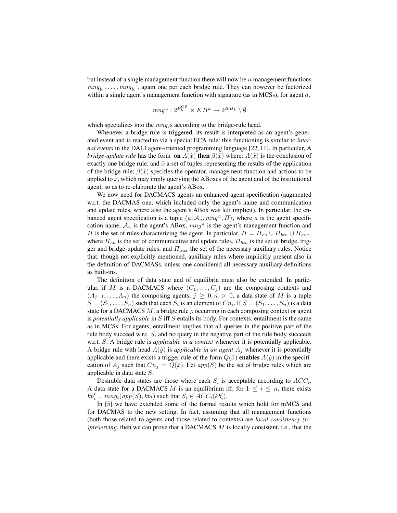but instead of a single management function there will now be  $n$  management functions  $mng_{b_1}, \ldots, mng_{b_n}$ , again one per each bridge rule. They can however be factorized within a single agent's management function with signature (as in MCSs), for agent a,

$$
mng^a: 2^{F_L^{OP}} \times KB^L \rightarrow 2^{KB_L} \setminus \emptyset
$$

which specializes into the  $mng_i$ s according to the bridge-rule head.

Whenever a bridge rule is triggered, its result is interpreted as an agent's generated event and is reacted to via a special ECA rule: this functioning is similar to *internal events* in the DALI agent-oriented programming language [22, 11]. In particular, A *bridge-update rule* has the form **on**  $A(\hat{x})$  then  $\beta(\hat{x})$  where:  $A(\hat{x})$  is the conclusion of exactly one bridge rule, and  $\hat{x}$  a set of tuples representing the results of the application of the bridge rule;  $\beta(\hat{x})$  specifies the operator, management function and actions to be applied to  $\hat{x}$ , which may imply querying the ABoxes of the agent and of the institutional agent, so as to re-elaborate the agent's ABox.

We now need for DACMACS agents an enhanced agent specification (augmented w.r.t. the DACMAS one, which included only the agent's name and communication and update rules, where also the agent's ABox was left implicit). In particular, the enhanced agent specification is a tuple  $\langle a, A_a, mng^a, \Pi \rangle$ , where a is the agent specification name,  $A_a$  is the agent's ABox,  $mng^a$  is the agent's management function and  $\Pi$  is the set of rules characterizing the agent. In particular,  $\Pi = \Pi_{cu} \cup \Pi_{btu} \cup \Pi_{aux}$ , where  $\Pi_{cu}$  is the set of communicative and update rules,  $\Pi_{btu}$  is the set of bridge, trigger and bridge-update rules, and  $\Pi_{aux}$  the set of the necessary auxiliary rules. Notice that, though not explicitly mentioned, auxiliary rules where implicitly present also in the definition of DACMASs, unless one considered all necessary auxiliary definitions as built-ins.

The definition of data state and of equilibria must also be extended. In particular, if M is a DACMACS where  $(C_1, \ldots, C_j)$  are the composing contexts and  $(A_{i+1},..., A_n)$  the composing agents,  $j \geq 0, n > 0$ , a data state of M is a tuple  $S = (S_1, \ldots, S_n)$  such that each  $S_i$  is an element of  $Cn_i$ . If  $S = (S_1, \ldots, S_n)$  is a data state for a DACMACS M, a bridge rule  $\rho$  occurring in each composing context or agent is *potentially applicable* in S iff S entails its body. For contexts, entailment is the same as in MCSs. For agents, entailment implies that all queries in the positive part of the rule body succeed w.r.t. S, and no query in the negative part of the rule body succeeds w.r.t. S. A bridge rule is *applicable in a context* whenever it is potentially applicable. A bridge rule with head  $A(\hat{y})$  is *applicable in an agent*  $A_i$  whenever it is potentially applicable and there exists a trigger rule of the form  $Q(\hat{x})$  enables  $A(\hat{y})$  in the specification of  $A_i$  such that  $Cn_i \models Q(\hat{x})$ . Let  $app(S)$  be the set of bridge rules which are applicable in data state S.

Desirable data states are those where each  $S_i$  is acceptable according to  $ACC_i$ . A data state for a DACMACS M is an equilibrium iff, for  $1 \leq i \leq n$ , there exists  $kb'_i = mng_i(app(S), kbi)$  such that  $S_i \in ACC_i(kb'_i)$ .

In [5] we have extended some of the formal results which hold for mMCS and for DACMAS to the new setting. In fact, assuming that all management functions (both those related to agents and those related to contexts) are *local consistency (lc- )preserving*, then we can prove that a DACMACS M is locally consistent, i.e., that the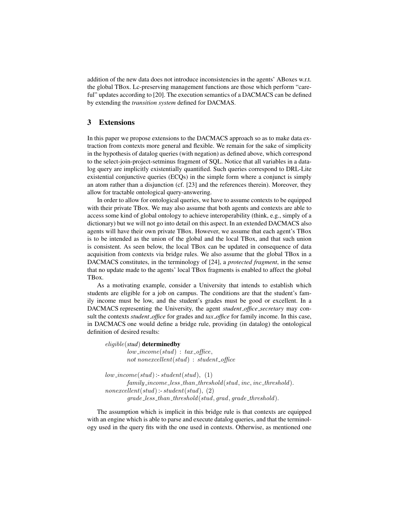addition of the new data does not introduce inconsistencies in the agents' ABoxes w.r.t. the global TBox. Lc-preserving management functions are those which perform "careful" updates according to [20]. The execution semantics of a DACMACS can be defined by extending the *transition system* defined for DACMAS.

## 3 Extensions

In this paper we propose extensions to the DACMACS approach so as to make data extraction from contexts more general and flexible. We remain for the sake of simplicity in the hypothesis of datalog queries (with negation) as defined above, which correspond to the select-join-project-setminus fragment of SQL. Notice that all variables in a datalog query are implicitly existentially quantified. Such queries correspond to DRL-Lite existential conjunctive queries (ECQs) in the simple form where a conjunct is simply an atom rather than a disjunction (cf. [23] and the references therein). Moreover, they allow for tractable ontological query-answering.

In order to allow for ontological queries, we have to assume contexts to be equipped with their private TBox. We may also assume that both agents and contexts are able to access some kind of global ontology to achieve interoperability (think, e.g., simply of a dictionary) but we will not go into detail on this aspect. In an extended DACMACS also agents will have their own private TBox. However, we assume that each agent's TBox is to be intended as the union of the global and the local TBox, and that such union is consistent. As seen below, the local TBox can be updated in consequence of data acquisition from contexts via bridge rules. We also assume that the global TBox in a DACMACS constitutes, in the terminology of [24], a *protected fragment*, in the sense that no update made to the agents' local TBox fragments is enabled to affect the global TBox.

As a motivating example, consider a University that intends to establish which students are eligible for a job on campus. The conditions are that the student's family income must be low, and the student's grades must be good or excellent. In a DACMACS representing the University, the agent *student office secretary* may consult the contexts *student office* for grades and *tax office* for family income. In this case, in DACMACS one would define a bridge rule, providing (in datalog) the ontological definition of desired results:

## eligible(*stud*) determinedby  $low\_income(stud)$ :  $tax\_offsetce$ , not nonexcellent(stud) : student\_office

```
low\_income(stud):-student(stud), (1)
family\_income\_less\_than\_threshold(statud, inc, inc\_threshold).nonexcellent(stat)]:- student(stud), (2)
```

```
grade\_less\_than\_threshold(statd, grad, grade\_threshold).
```
The assumption which is implicit in this bridge rule is that contexts are equipped with an engine which is able to parse and execute datalog queries, and that the terminology used in the query fits with the one used in contexts. Otherwise, as mentioned one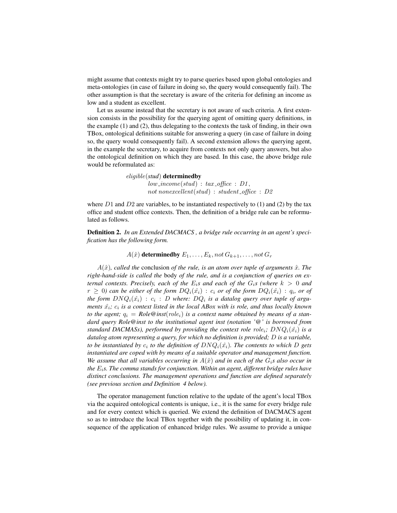might assume that contexts might try to parse queries based upon global ontologies and meta-ontologies (in case of failure in doing so, the query would consequently fail). The other assumption is that the secretary is aware of the criteria for defining an income as low and a student as excellent.

Let us assume instead that the secretary is not aware of such criteria. A first extension consists in the possibility for the querying agent of omitting query definitions, in the example (1) and (2), thus delegating to the contexts the task of finding, in their own TBox, ontological definitions suitable for answering a query (in case of failure in doing so, the query would consequently fail). A second extension allows the querying agent, in the example the secretary, to acquire from contexts not only query answers, but also the ontological definition on which they are based. In this case, the above bridge rule would be reformulated as:

> eligible(*stud*) determinedby  $low\_income(stud)$  :  $tax\_offsetce$  :  $D1$ , not nonexcellent(stud) : student\_office :  $D2$

where  $D1$  and  $D2$  are variables, to be instantiated respectively to (1) and (2) by the tax office and student office contexts. Then, the definition of a bridge rule can be reformulated as follows.

Definition 2. *In an Extended DACMACS , a bridge rule occurring in an agent's specification has the following form.*

 $A(\hat{x})$  determined by  $E_1, \ldots, E_k$ , not  $G_{k+1}, \ldots$ , not  $G_r$ 

 $A(\hat{x})$ *, called the* conclusion *of the rule, is an atom over tuple of arguments*  $\hat{x}$ *. The right-hand-side is called the* body *of the rule, and is a conjunction of queries on external contexts. Precisely, each of the*  $E_i$ *s and each of the*  $G_i$ *s (where*  $k > 0$  *and*  $r\,\geq\, 0)$  can be either of the form  $DQ_i(\hat{x_i})\,:\, c_i$  or of the form  $DQ_i(\hat{x_i})\,:\, q_i$ , or of the form  $D N Q_i(\hat{x_i}) \, : \, c_i \, : \, D$  where:  $D Q_i$  is a datalog query over tuple of argu*ments*  $\hat{x_i}$ ;  $c_i$  is a context listed in the local ABox with is role, and thus locally known *to the agent;*  $q_i = Role@inst(role_i)$  *is a context name obtained by means of a standard query Role@inst to the institutional agent inst (notation '@' is borrowed from standard DACMASs), performed by providing the context role role<sub>i</sub>;*  $DNQ_i(\hat{x}_i)$  *is a datalog atom representing a query, for which no definition is provided;* D *is a variable, to be instantiated by*  $c_i$  *to the definition of*  $D N Q_i(\hat{x_i})$ *. The contents to which D gets instantiated are coped with by means of a suitable operator and management function. We assume that all variables occurring in*  $A(\hat{x})$  *and in each of the*  $G_i$ *s also occur in the* Ei*s. The comma stands for conjunction. Within an agent, different bridge rules have distinct conclusions. The management operations and function are defined separately (see previous section and Definition 4 below).*

The operator management function relative to the update of the agent's local TBox via the acquired ontological contents is unique, i.e., it is the same for every bridge rule and for every context which is queried. We extend the definition of DACMACS agent so as to introduce the local TBox together with the possibility of updating it, in consequence of the application of enhanced bridge rules. We assume to provide a unique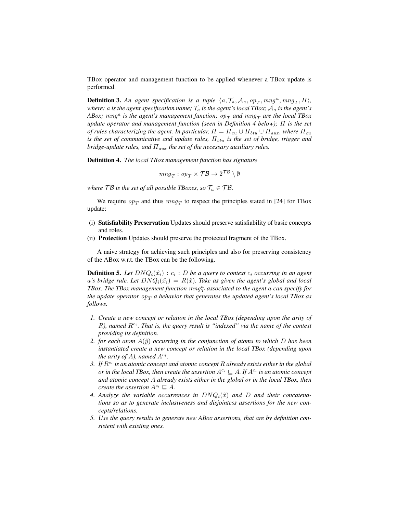TBox operator and management function to be applied whenever a TBox update is performed.

**Definition 3.** An agent specification is a tuple  $\langle a, \mathcal{T}_a, \mathcal{A}_a, op_T, mng^a, mng_T, \Pi \rangle$ , *where:* a *is the agent specification name;*  $T_a$  *is the agent's local TBox;*  $A_a$  *is the agent's*  $ABox$ ;  $mng<sup>a</sup>$  is the agent's management function;  $op_T$  and  $mng_T$  are the local TBox *update operator and management function (seen in Definition 4 below);* Π *is the set of rules characterizing the agent. In particular,*  $\Pi = \Pi_{cu} \cup \Pi_{btu} \cup \Pi_{aux}$ *, where*  $\Pi_{cu}$ *is the set of communicative and update rules,*  $\Pi_{btu}$  *is the set of bridge, trigger and bridge-update rules, and*  $\Pi_{aux}$  *the set of the necessary auxiliary rules.* 

Definition 4. *The local TBox management function has signature*

$$
mng_T: op_T\times \mathcal{TB}\to 2^{\mathcal{TB}}\setminus \emptyset
$$

*where*  $\mathcal{T}\mathcal{B}$  *is the set of all possible TBoxes, so*  $\mathcal{T}_a \in \mathcal{T}\mathcal{B}$ *.* 

We require  $op_T$  and thus  $mng_T$  to respect the principles stated in [24] for TBox update:

- (i) Satisfiability Preservation Updates should preserve satisfiability of basic concepts and roles.
- (ii) Protection Updates should preserve the protected fragment of the TBox.

A naive strategy for achieving such principles and also for preserving consistency of the ABox w.r.t. the TBox can be the following.

**Definition 5.** Let  $D N Q_i(\hat{x}_i) : c_i : D$  be a query to context  $c_i$  occurring in an agent a's bridge rule. Let  $D N Q_i(\hat{x}_i) = R(\hat{x})$ . Take as given the agent's global and local  $TBox$ . The  $TBox$  management function  $mng_T^a$  associated to the agent  $a$  can specify for *the update operator*  $op_T$  *a behavior that generates the updated agent's local TBox as follows.*

- *1. Create a new concept or relation in the local TBox (depending upon the arity of*  $R$ ), named  $R^{c_i}$ . That is, the query result is "indexed" via the name of the context *providing its definition.*
- *2. for each atom*  $A(\hat{y})$  *occurring in the conjunction of atoms to which* D has been *instantiated create a new concept or relation in the local TBox (depending upon the arity of A*), named  $A^{c_i}$ .
- 3. If  $R^{c_i}$  is an atomic concept and atomic concept R already exists either in the global *or in the local TBox, then create the assertion*  $A^{c_i} \sqsubseteq A$ *. If*  $A^{c_i}$  *is an atomic concept and atomic concept* A *already exists either in the global or in the local TBox, then create the assertion*  $A^{c_i} \subseteq A$ *.*
- 4. Analyze the variable occurrences in  $D N Q_i(\hat{x})$  and D and their concatena*tions so as to generate inclusiveness and disjointess assertions for the new concepts/relations.*
- *5. Use the query results to generate new ABox assertions, that are by definition consistent with existing ones.*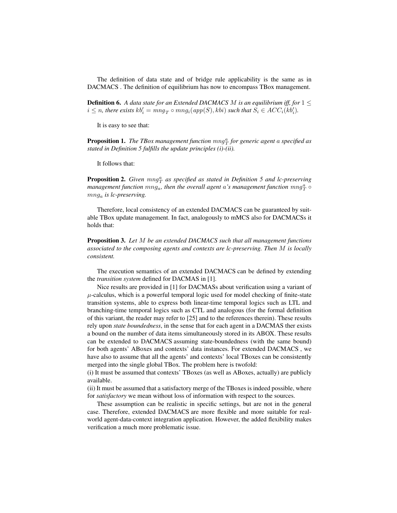The definition of data state and of bridge rule applicability is the same as in DACMACS . The definition of equilibrium has now to encompass TBox management.

**Definition 6.** *A data state for an Extended DACMACS M is an equilibrium iff, for*  $1 \leq$  $i \leq n$ , there exists  $kb'_i = mng_T \circ mng_i(app(S), kbi)$  such that  $S_i \in ACC_i(kb'_i)$ .

It is easy to see that:

**Proposition 1.** The TBox management function  $m n g_T^a$  for generic agent a specified as *stated in Definition 5 fulfills the update principles (i)-(ii).*

It follows that:

**Proposition 2.** *Given*  $mng<sub>T</sub><sup>a</sup>$  as specified as stated in Definition 5 and lc-preserving management function  $mng_a$ , then the overall agent  $a$ 's management function  $mng_T^a\circ$ mng<sup>a</sup> *is lc-preserving.*

Therefore, local consistency of an extended DACMACS can be guaranteed by suitable TBox update management. In fact, analogously to mMCS also for DACMACSs it holds that:

Proposition 3. *Let* M *be an extended DACMACS such that all management functions associated to the composing agents and contexts are lc-preserving. Then* M *is locally consistent.*

The execution semantics of an extended DACMACS can be defined by extending the *transition system* defined for DACMAS in [1].

Nice results are provided in [1] for DACMASs about verification using a variant of  $\mu$ -calculus, which is a powerful temporal logic used for model checking of finite-state transition systems, able to express both linear-time temporal logics such as LTL and branching-time temporal logics such as CTL and analogous (for the formal definition of this variant, the reader may refer to [25] and to the references therein). These results rely upon *state boundedness*, in the sense that for each agent in a DACMAS ther exists a bound on the number of data items simultaneously stored in its ABOX. These results can be extended to DACMACS assuming state-boundedness (with the same bound) for both agents' ABoxes and contexts' data instances. For extended DACMACS , we have also to assume that all the agents' and contexts' local TBoxes can be consistently merged into the single global TBox. The problem here is twofold:

(i) It must be assumed that contexts' TBoxes (as well as ABoxes, actually) are publicly available.

(ii) It must be assumed that a satisfactory merge of the TBoxes is indeed possible, where for *satisfactory* we mean without loss of information with respect to the sources.

These assumption can be realistic in specific settings, but are not in the general case. Therefore, extended DACMACS are more flexible and more suitable for realworld agent-data-context integration application. However, the added flexibility makes verification a much more problematic issue.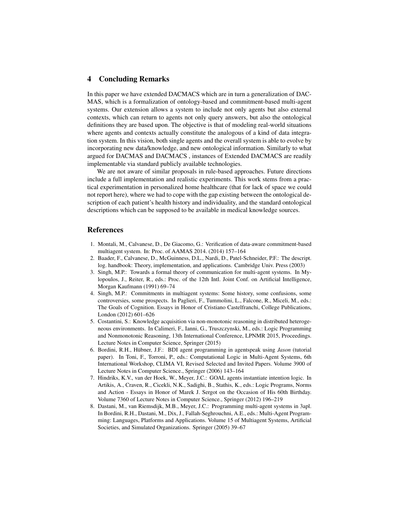## 4 Concluding Remarks

In this paper we have extended DACMACS which are in turn a generalization of DAC-MAS, which is a formalization of ontology-based and commitment-based multi-agent systems. Our extension allows a system to include not only agents but also external contexts, which can return to agents not only query answers, but also the ontological definitions they are based upon. The objective is that of modeling real-world situations where agents and contexts actually constitute the analogous of a kind of data integration system. In this vision, both single agents and the overall system is able to evolve by incorporating new data/knowledge, and new ontological information. Similarly to what argued for DACMAS and DACMACS , instances of Extended DACMACS are readily implementable via standard publicly available technologies.

We are not aware of similar proposals in rule-based approaches. Future directions include a full implementation and realistic experiments. This work stems from a practical experimentation in personalized home healthcare (that for lack of space we could not report here), where we had to cope with the gap existing between the ontological description of each patient's health history and individuality, and the standard ontological descriptions which can be supposed to be available in medical knowledge sources.

## References

- 1. Montali, M., Calvanese, D., De Giacomo, G.: Verification of data-aware commitment-based multiagent system. In: Proc. of AAMAS 2014. (2014) 157–164
- 2. Baader, F., Calvanese, D., McGuinness, D.L., Nardi, D., Patel-Schneider, P.F.: The descript. log. handbook: Theory, implementation, and applications. Cambridge Univ. Press (2003)
- 3. Singh, M.P.: Towards a formal theory of communication for multi-agent systems. In Mylopoulos, J., Reiter, R., eds.: Proc. of the 12th Intl. Joint Conf. on Artificial Intelligence, Morgan Kaufmann (1991) 69–74
- 4. Singh, M.P.: Commitments in multiagent systems: Some history, some confusions, some controversies, some prospects. In Paglieri, F., Tummolini, L., Falcone, R., Miceli, M., eds.: The Goals of Cognition. Essays in Honor of Cristiano Castelfranchi, College Publications, London (2012) 601–626
- 5. Costantini, S.: Knowledge acquisition via non-monotonic reasoning in distributed heterogeneous environments. In Calimeri, F., Ianni, G., Truszczynski, M., eds.: Logic Programming and Nonmonotonic Reasoning, 13th International Conference, LPNMR 2015, Proceedings. Lecture Notes in Computer Science, Springer (2015)
- 6. Bordini, R.H., Hübner, J.F.: BDI agent programming in agentspeak using *Jason* (tutorial paper). In Toni, F., Torroni, P., eds.: Computational Logic in Multi-Agent Systems, 6th International Workshop, CLIMA VI, Revised Selected and Invited Papers. Volume 3900 of Lecture Notes in Computer Science., Springer (2006) 143–164
- 7. Hindriks, K.V., van der Hoek, W., Meyer, J.C.: GOAL agents instantiate intention logic. In Artikis, A., Craven, R., Cicekli, N.K., Sadighi, B., Stathis, K., eds.: Logic Programs, Norms and Action - Essays in Honor of Marek J. Sergot on the Occasion of His 60th Birthday. Volume 7360 of Lecture Notes in Computer Science., Springer (2012) 196–219
- 8. Dastani, M., van Riemsdijk, M.B., Meyer, J.C.: Programming multi-agent systems in 3apl. In Bordini, R.H., Dastani, M., Dix, J., Fallah-Seghrouchni, A.E., eds.: Multi-Agent Programming: Languages, Platforms and Applications. Volume 15 of Multiagent Systems, Artificial Societies, and Simulated Organizations. Springer (2005) 39–67